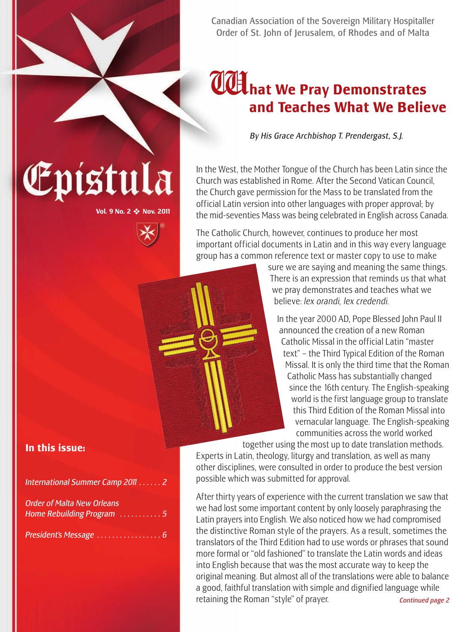

### W**hat We Pray Demonstrates and Teaches What We Believe**

*By His Grace Archbishop T. Prendergast, S.J.*

In the West, the Mother Tongue of the Church has been Latin since the Church was established in Rome. After the Second Vatican Council, the Church gave permission for the Mass to be translated from the official Latin version into other languages with proper approval; by the mid-seventies Mass was being celebrated in English across Canada.

The Catholic Church, however, continues to produce her most important official documents in Latin and in this way every language group has a common reference text or master copy to use to make

> sure we are saying and meaning the same things. There is an expression that reminds us that what we pray demonstrates and teaches what we believe: *lex orandi, lex credendi.*

In the year 2000 AD, Pope Blessed John Paul II announced the creation of a new Roman Catholic Missal in the official Latin "master text" – the Third Typical Edition of the Roman Missal. It is only the third time that the Roman Catholic Mass has substantially changed since the 16th century. The English-speaking world is the first language group to translate this Third Edition of the Roman Missal into vernacular language. The English-speaking communities across the world worked

together using the most up to date translation methods. Experts in Latin, theology, liturgy and translation, as well as many other disciplines, were consulted in order to produce the best version possible which was submitted for approval.

After thirty years of experience with the current translation we saw that we had lost some important content by only loosely paraphrasing the Latin prayers into English. We also noticed how we had compromised the distinctive Roman style of the prayers. As a result, sometimes the translators of the Third Edition had to use words or phrases that sound more formal or "old fashioned" to translate the Latin words and ideas into English because that was the most accurate way to keep the original meaning. But almost all of the translations were able to balance a good, faithful translation with simple and dignified language while retaining the Roman "style" of prayer. *Continued page 2*

# Epistula

**Vol. 9 No. 2** ❖ **Nov. 2011**

#### **In this issue:**

*International Summer Camp 2011 . . . . . . 2*

| <b>Order of Malta New Orleans</b> |  |  |  |  |  |
|-----------------------------------|--|--|--|--|--|
| Home Rebuilding Program 5         |  |  |  |  |  |

*President's Message . . . . . . . . . . . . . . . . . 6*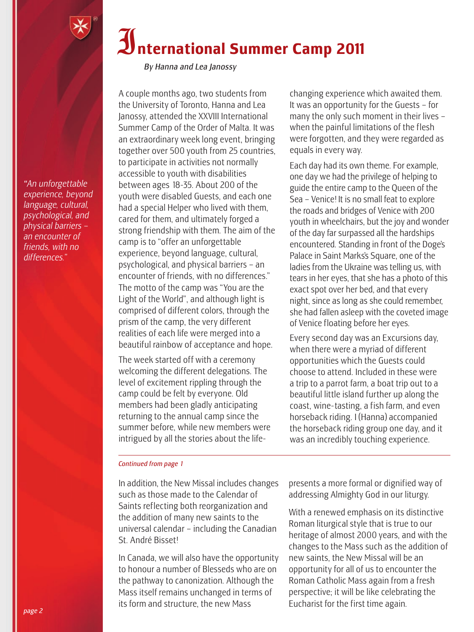*"An unforgettable experience, beyond language, cultural, psychological, and physical barriers – an encounter of friends, with no differences."*

## I**nternational Summer Camp 2011**

*By Hanna and Lea Janossy*

A couple months ago, two students from the University of Toronto, Hanna and Lea Janossy, attended the XXVIII International Summer Camp of the Order of Malta. It was an extraordinary week long event, bringing together over 500 youth from 25 countries, to participate in activities not normally accessible to youth with disabilities between ages 18-35. About 200 of the youth were disabled Guests, and each one had a special Helper who lived with them, cared for them, and ultimately forged a strong friendship with them. The aim of the camp is to "offer an unforgettable experience, beyond language, cultural, psychological, and physical barriers – an encounter of friends, with no differences." The motto of the camp was "You are the Light of the World", and although light is comprised of different colors, through the prism of the camp, the very different realities of each life were merged into a beautiful rainbow of acceptance and hope.

The week started off with a ceremony welcoming the different delegations. The level of excitement rippling through the camp could be felt by everyone. Old members had been gladly anticipating returning to the annual camp since the summer before, while new members were intrigued by all the stories about the life-

#### changing experience which awaited them. It was an opportunity for the Guests – for many the only such moment in their lives – when the painful limitations of the flesh were forgotten, and they were regarded as equals in every way.

Each day had its own theme. For example, one day we had the privilege of helping to guide the entire camp to the Queen of the Sea – Venice! It is no small feat to explore the roads and bridges of Venice with 200 youth in wheelchairs, but the joy and wonder of the day far surpassed all the hardships encountered. Standing in front of the Doge's Palace in Saint Marks's Square, one of the ladies from the Ukraine was telling us, with tears in her eyes, that she has a photo of this exact spot over her bed, and that every night, since as long as she could remember, she had fallen asleep with the coveted image of Venice floating before her eyes.

Every second day was an Excursions day, when there were a myriad of different opportunities which the Guests could choose to attend. Included in these were a trip to a parrot farm, a boat trip out to a beautiful little island further up along the coast, wine- tasting, a fish farm, and even horseback riding. I (Hanna) accompanied the horseback riding group one day, and it was an incredibly touching experience.

#### *Continued from page 1*

In addition, the New Missal includes changes such as those made to the Calendar of Saints reflecting both reorganization and the addition of many new saints to the universal calendar – including the Canadian St. André Bisset!

In Canada, we will also have the opportunity to honour a number of Blesseds who are on the pathway to canonization. Although the Mass itself remains unchanged in terms of its form and structure, the new Mass

presents a more formal or dignified way of addressing Almighty God in our liturgy.

With a renewed emphasis on its distinctive Roman liturgical style that is true to our heritage of almost 2000 years, and with the changes to the Mass such as the addition of new saints, the New Missal will be an opportunity for all of us to encounter the Roman Catholic Mass again from a fresh perspective; it will be like celebrating the Eucharist for the first time again.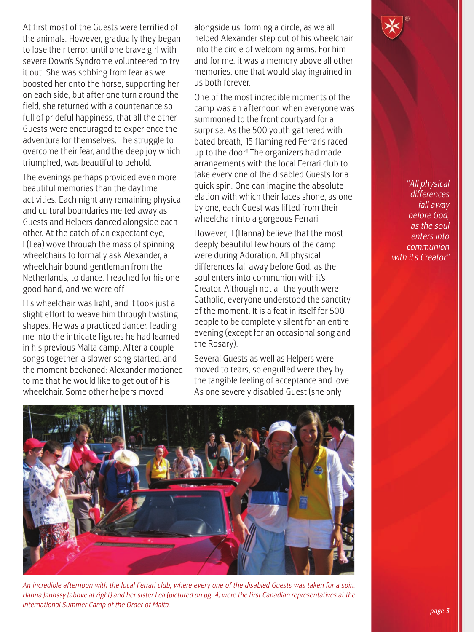At first most of the Guests were terrified of the animals. However, gradually they began to lose their terror, until one brave girl with severe Down's Syndrome volunteered to try it out. She was sobbing from fear as we boosted her onto the horse, supporting her on each side, but after one turn around the field, she returned with a countenance so full of prideful happiness, that all the other Guests were encouraged to experience the adventure for themselves. The struggle to overcome their fear, and the deep joy which triumphed, was beautiful to behold.

The evenings perhaps provided even more beautiful memories than the daytime activities. Each night any remaining physical and cultural boundaries melted away as Guests and Helpers danced alongside each other. At the catch of an expectant eye, I (Lea) wove through the mass of spinning wheelchairs to formally ask Alexander, a wheelchair bound gentleman from the Netherlands, to dance. I reached for his one good hand, and we were off !

His wheelchair was light, and it took just a slight effort to weave him through twisting shapes. He was a practiced dancer, leading me into the intricate figures he had learned in his previous Malta camp. After a couple songs together, a slower song started, and the moment beckoned: Alexander motioned to me that he would like to get out of his wheelchair. Some other helpers moved

alongside us, forming a circle, as we all helped Alexander step out of his wheelchair into the circle of welcoming arms. For him and for me, it was a memory above all other memories, one that would stay ingrained in us both forever.

One of the most incredible moments of the camp was an afternoon when everyone was summoned to the front courtyard for a surprise. As the 500 youth gathered with bated breath, 15 flaming red Ferraris raced up to the door! The organizers had made arrangements with the local Ferrari club to take every one of the disabled Guests for a quick spin. One can imagine the absolute elation with which their faces shone, as one by one, each Guest was lifted from their wheelchair into a gorgeous Ferrari.

However, I (Hanna) believe that the most deeply beautiful few hours of the camp were during Adoration. All physical differences fall away before God, as the soul enters into communion with it's Creator. Although not all the youth were Catholic, everyone understood the sanctity of the moment. It is a feat in itself for 500 people to be completely silent for an entire evening (except for an occasional song and the Rosary).

Several Guests as well as Helpers were moved to tears, so engulfed were they by the tangible feeling of acceptance and love. As one severely disabled Guest (she only





*An incredible afternoon with the local Ferrari club, where every one of the disabled Guests was taken for a spin. Hanna Janossy (above at right) and her sister Lea (pictured on pg. 4) were the first Canadian representatives at the International Summer Camp of the Order of Malta.*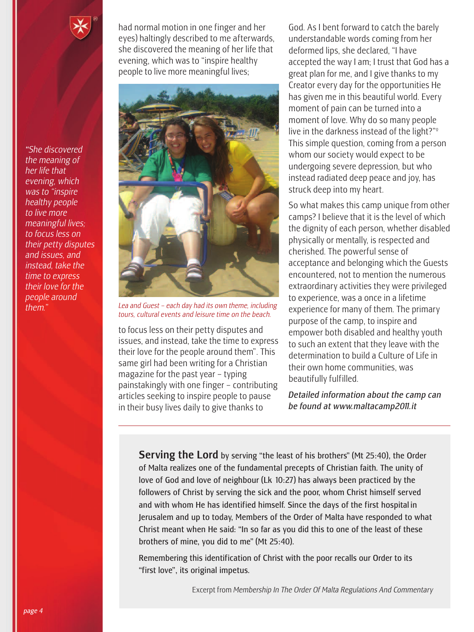*"She discovered the meaning of her life that evening, which was to "inspire healthy people to live more meaningful lives; to focus less on their petty disputes and issues, and instead, take the time to express their love for the people around them."*

had normal motion in one finger and her eyes) haltingly described to me afterwards, she discovered the meaning of her life that evening, which was to "inspire healthy people to live more meaningful lives;



*Lea and Guest – each day had its own theme, including tours, cultural events and leisure time on the beach.*

to focus less on their petty disputes and issues, and instead, take the time to express their love for the people around them". This same girl had been writing for a Christian magazine for the past year – typing painstakingly with one finger – contributing articles seeking to inspire people to pause in their busy lives daily to give thanks to

God. As I bent forward to catch the barely understandable words coming from her deformed lips, she declared, "I have accepted the way I am; I trust that God has a great plan for me, and I give thanks to my Creator every day for the opportunities He has given me in this beautiful world. Every moment of pain can be turned into a moment of love. Why do so many people live in the darkness instead of the light?"<sup>°</sup> This simple question, coming from a person whom our society would expect to be undergoing severe depression, but who instead radiated deep peace and joy, has struck deep into my heart.

So what makes this camp unique from other camps? I believe that it is the level of which the dignity of each person, whether disabled physically or mentally, is respected and cherished. The powerful sense of acceptance and belonging which the Guests encountered, not to mention the numerous extraordinary activities they were privileged to experience, was a once in a lifetime experience for many of them. The primary purpose of the camp, to inspire and empower both disabled and healthy youth to such an extent that they leave with the determination to build a Culture of Life in their own home communities, was beautifully fulfilled.

*Detailed information about the camp can be found at www.maltacamp2011.it*

**Serving the Lord** by serving "the least of his brothers" (Mt 25:40), the Order of Malta realizes one of the fundamental precepts of Christian faith. The unity of love of God and love of neighbour (Lk 10:27) has always been practiced by the followers of Christ by serving the sick and the poor, whom Christ himself served and with whom He has identified himself. Since the days of the first hospital in Jerusalem and up to today, Members of the Order of Malta have responded to what Christ meant when He said: "In so far as you did this to one of the least of these brothers of mine, you did to me" (Mt 25:40).

Remembering this identification of Christ with the poor recalls our Order to its "first love", its original impetus.

Excerpt from *Membership In The Order Of Malta Regulations And Commentary*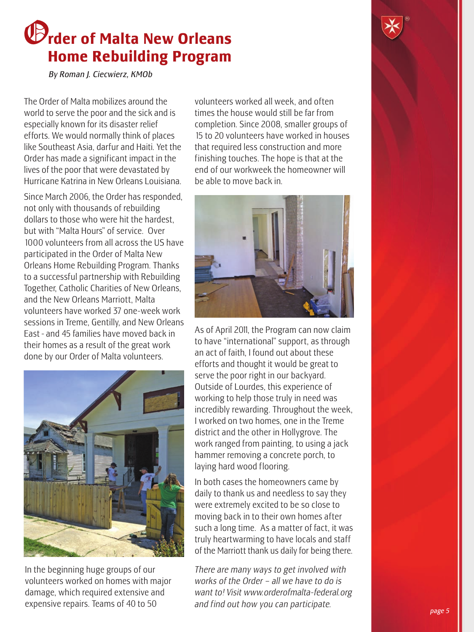### O**rder of Malta New Orleans Home Rebuilding Program**

*By Roman J. Ciecwierz, KMOb*

The Order of Malta mobilizes around the world to serve the poor and the sick and is especially known for its disaster relief efforts. We would normally think of places like Southeast Asia, darfur and Haiti. Yet the Order has made a significant impact in the lives of the poor that were devastated by Hurricane Katrina in New Orleans Louisiana.

Since March 2006, the Order has responded, not only with thousands of rebuilding dollars to those who were hit the hardest, but with "Malta Hours" of service. Over 1000 volunteers from all across the US have participated in the Order of Malta New Orleans Home Rebuilding Program. Thanks to a successful partnership with Rebuilding Together, Catholic Charities of New Orleans, and the New Orleans Marriott, Malta volunteers have worked 37 one-week work sessions in Treme, Gentilly, and New Orleans East - and 45 families have moved back in their homes as a result of the great work done by our Order of Malta volunteers.



In the beginning huge groups of our volunteers worked on homes with major damage, which required extensive and expensive repairs. Teams of 40 to 50

volunteers worked all week, and often times the house would still be far from completion. Since 2008, smaller groups of 15 to 20 volunteers have worked in houses that required less construction and more finishing touches. The hope is that at the end of our workweek the homeowner will be able to move back in.



As of April 2011, the Program can now claim to have "international" support, as through an act of faith, I found out about these efforts and thought it would be great to serve the poor right in our backyard. Outside of Lourdes, this experience of working to help those truly in need was incredibly rewarding. Throughout the week, I worked on two homes, one in the Treme district and the other in Hollygrove. The work ranged from painting, to using a jack hammer removing a concrete porch, to laying hard wood flooring.

In both cases the homeowners came by daily to thank us and needless to say they were extremely excited to be so close to moving back in to their own homes after such a long time. As a matter of fact, it was truly heartwarming to have locals and staff of the Marriott thank us daily for being there.

*There are many ways to get involved with works of the Order – all we have to do is want to! Visit www.orderofmalta-federal.org and find out how you can participate.*